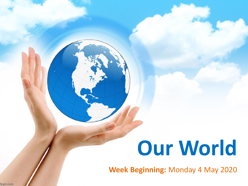# **Our World**

**Week Beginning:** Monday 4 May 2020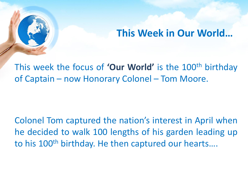#### **This Week in Our World…**

This week the focus of **'Our World'** is the 100th birthday of Captain – now Honorary Colonel – Tom Moore.

Colonel Tom captured the nation's interest in April when he decided to walk 100 lengths of his garden leading up to his 100<sup>th</sup> birthday. He then captured our hearts....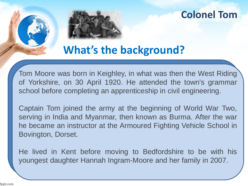

## **What's the background?**

Tom Moore was born in Keighley, in what was then the West Riding of Yorkshire, on 30 April 1920. He attended the town's grammar school before completing an apprenticeship in civil engineering.

Captain Tom joined the army at the beginning of World War Two, serving in India and Myanmar, then known as Burma. After the war he became an instructor at the Armoured Fighting Vehicle School in Bovington, Dorset.

He lived in Kent before moving to Bedfordshire to be with his youngest daughter Hannah Ingram-Moore and her family in 2007.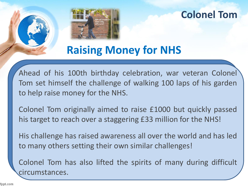

# **Raising Money for NHS**

Ahead of his 100th birthday celebration, war veteran Colonel Tom set himself the challenge of walking 100 laps of his garden to help raise money for the NHS.

Colonel Tom originally aimed to raise £1000 but quickly passed his target to reach over a staggering £33 million for the NHS!

His challenge has raised awareness all over the world and has led to many others setting their own similar challenges!

Colonel Tom has also lifted the spirits of many during difficult circumstances.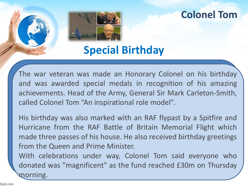

**Special Birthday**

The war veteran was made an Honorary Colonel on his birthday and was awarded special medals in recognition of his amazing achievements. Head of the Army, General Sir Mark Carleton-Smith, called Colonel Tom "An inspirational role model".

His birthday was also marked with an RAF flypast by a Spitfire and Hurricane from the RAF Battle of Britain Memorial Flight which made three passes of his house. He also received birthday greetings from the Queen and Prime Minister.

With celebrations under way, Colonel Tom said everyone who donated was "magnificent" as the fund reached £30m on Thursday morning.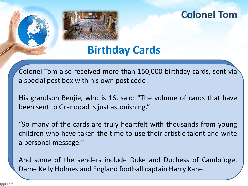

# **Birthday Cards**

Colonel Tom also received more than 150,000 birthday cards, sent via a special post box with his own post code!

His grandson Benjie, who is 16, said: "The volume of cards that have been sent to Granddad is just astonishing."

"So many of the cards are truly heartfelt with thousands from young children who have taken the time to use their artistic talent and write a personal message."

And some of the senders include Duke and Duchess of Cambridge, Dame Kelly Holmes and England football captain Harry Kane.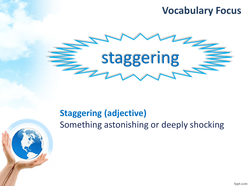### **Vocabulary Focus**



### **Staggering (adjective)** Something astonishing or deeply shocking